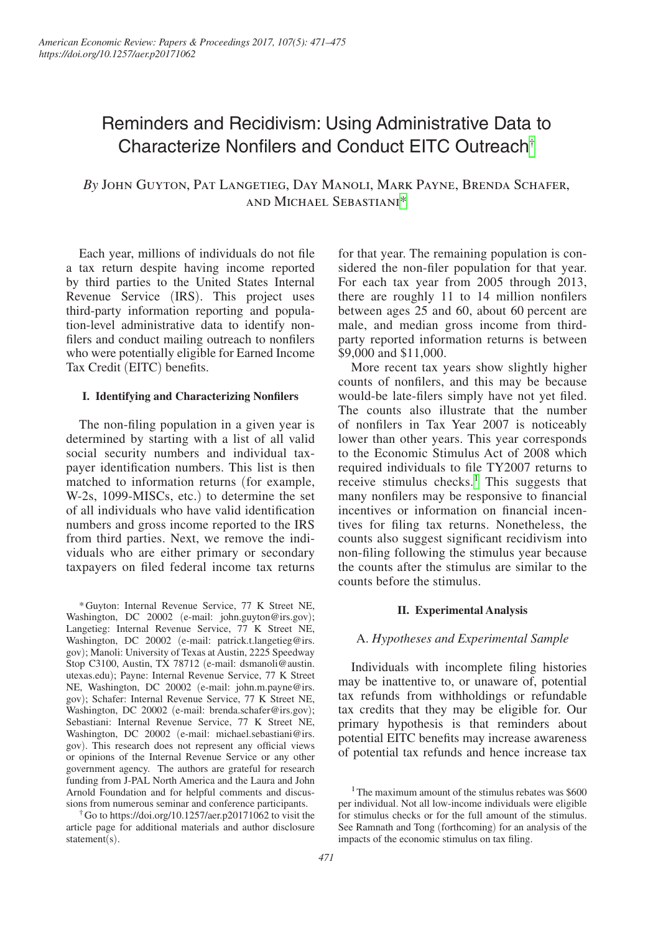# Reminders and Recidivism: Using Administrative Data to Characterize Nonfilers and Conduct EITC Outreach[†](#page-0-1)

# *By* John Guyton, Pat Langetieg, Day Manoli, Mark Payne, Brenda Schafer, and Michael Sebastiani[\\*](#page-0-2)

Each year, millions of individuals do not file a tax return despite having income reported by third parties to the United States Internal Revenue Service (IRS). This project uses third-party information reporting and population-level administrative data to identify nonfilers and conduct mailing outreach to nonfilers who were potentially eligible for Earned Income Tax Credit (EITC) benefits.

### **I. Identifying and Characterizing Nonfilers**

The non-filing population in a given year is determined by starting with a list of all valid social security numbers and individual taxpayer identification numbers. This list is then matched to information returns (for example, W-2s, 1099-MISCs, etc.) to determine the set of all individuals who have valid identification numbers and gross income reported to the IRS from third parties. Next, we remove the individuals who are either primary or secondary taxpayers on filed federal income tax returns

<span id="page-0-2"></span>\*Guyton: Internal Revenue Service, 77 K Street NE, Washington, DC 20002 (e-mail: [john.guyton@irs.gov](mailto:john.guyton@irs.gov)); Langetieg: Internal Revenue Service, 77 K Street NE, Washington, DC 20002 (e-mail: [patrick.t.langetieg@irs.](mailto:patrick.t.langetieg@irs.gov) [gov](mailto:patrick.t.langetieg@irs.gov)); Manoli: University of Texas at Austin, 2225 Speedway Stop C3100, Austin, TX 78712 (e-mail: [dsmanoli@austin.](mailto:dsmanoli@austin.utexas.edu) [utexas.edu](mailto:dsmanoli@austin.utexas.edu)); Payne: Internal Revenue Service, 77 K Street NE, Washington, DC 20002 (e-mail: [john.m.payne@irs.](mailto:john.m.payne@irs.gov) [gov](mailto:john.m.payne@irs.gov)); Schafer: Internal Revenue Service, 77 K Street NE, Washington, DC 20002 (e-mail: [brenda.schafer@irs.gov](mailto:brenda.schafer@irs.gov)); Sebastiani: Internal Revenue Service, 77 K Street NE, Washington, DC 20002 (e-mail: [michael.sebastiani@irs.](mailto:michael.sebastiani@irs.gov) [gov](mailto:michael.sebastiani@irs.gov)). This research does not represent any official views or opinions of the Internal Revenue Service or any other government agency. The authors are grateful for research funding from J-PAL North America and the Laura and John Arnold Foundation and for helpful comments and discussions from numerous seminar and conference participants.

<span id="page-0-1"></span>†Go to https://doi.org/10.1257/aer.p20171062 to visit the article page for additional materials and author disclosure statement(s).

for that year. The remaining population is considered the non-filer population for that year. For each tax year from 2005 through 2013, there are roughly 11 to 14 million nonfilers between ages 25 and 60, about 60 percent are male, and median gross income from thirdparty reported information returns is between \$9,000 and \$11,000.

More recent tax years show slightly higher counts of nonfilers, and this may be because would-be late-filers simply have not yet filed. The counts also illustrate that the number of nonfilers in Tax Year 2007 is noticeably lower than other years. This year corresponds to the Economic Stimulus Act of 2008 which required individuals to file TY2007 returns to receive stimulus checks.<sup>[1](#page-0-0)</sup> This suggests that many nonfilers may be responsive to financial incentives or information on financial incentives for filing tax returns. Nonetheless, the counts also suggest significant recidivism into non-filing following the stimulus year because the counts after the stimulus are similar to the counts before the stimulus.

#### **II. Experimental Analysis**

### A. *Hypotheses and Experimental Sample*

Individuals with incomplete filing histories may be inattentive to, or unaware of, potential tax refunds from withholdings or refundable tax credits that they may be eligible for. Our primary hypothesis is that reminders about potential EITC benefits may increase awareness of potential tax refunds and hence increase tax

<span id="page-0-0"></span><sup>&</sup>lt;sup>1</sup>The maximum amount of the stimulus rebates was \$600 per individual. Not all low-income individuals were eligible for stimulus checks or for the full amount of the stimulus. See Ramnath and Tong (forthcoming) for an analysis of the impacts of the economic stimulus on tax filing.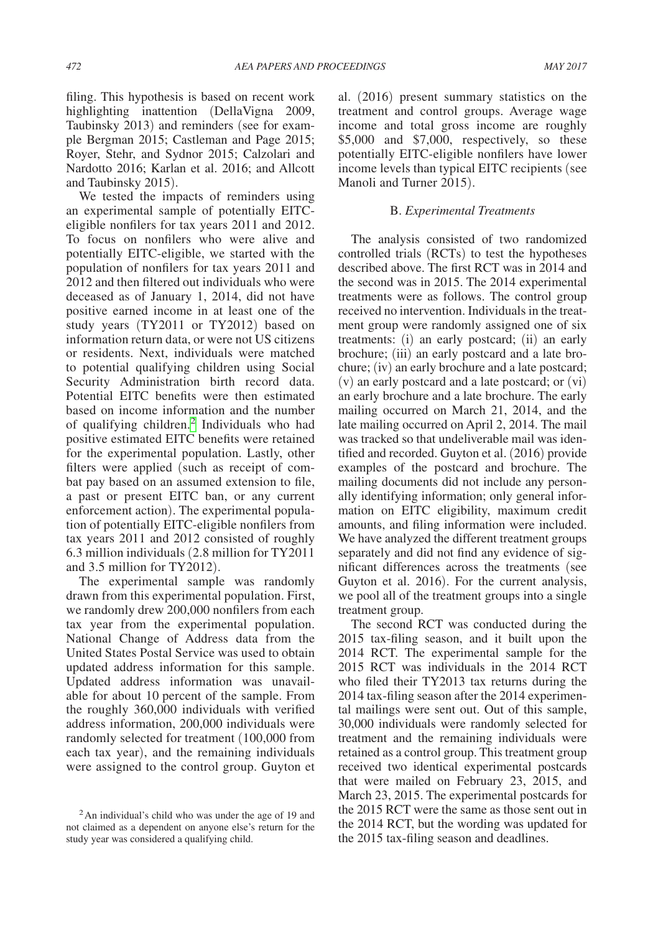filing. This hypothesis is based on recent work highlighting inattention (DellaVigna 2009, Taubinsky 2013) and reminders (see for example Bergman 2015; Castleman and Page 2015; Royer, Stehr, and Sydnor 2015; Calzolari and Nardotto 2016; Karlan et al. 2016; and Allcott and Taubinsky 2015).

We tested the impacts of reminders using an experimental sample of potentially EITCeligible nonfilers for tax years 2011 and 2012. To focus on nonfilers who were alive and potentially EITC-eligible, we started with the population of nonfilers for tax years 2011 and 2012 and then filtered out individuals who were deceased as of January 1, 2014, did not have positive earned income in at least one of the study years (TY2011 or TY2012) based on information return data, or were not US citizens or residents. Next, individuals were matched to potential qualifying children using Social Security Administration birth record data. Potential EITC benefits were then estimated based on income information and the number of qualifying children.<sup>[2](#page-1-0)</sup> Individuals who had positive estimated EITC benefits were retained for the experimental population. Lastly, other filters were applied (such as receipt of combat pay based on an assumed extension to file, a past or present EITC ban, or any current enforcement action). The experimental population of potentially EITC-eligible nonfilers from tax years 2011 and 2012 consisted of roughly 6.3 million individuals (2.8 million for TY2011 and 3.5 million for TY2012).

The experimental sample was randomly drawn from this experimental population. First, we randomly drew 200,000 nonfilers from each tax year from the experimental population. National Change of Address data from the United States Postal Service was used to obtain updated address information for this sample. Updated address information was unavailable for about 10 percent of the sample. From the roughly 360,000 individuals with verified address information, 200,000 individuals were randomly selected for treatment (100,000 from each tax year), and the remaining individuals were assigned to the control group. Guyton et

al. (2016) present summary statistics on the treatment and control groups. Average wage income and total gross income are roughly \$5,000 and \$7,000, respectively, so these potentially EITC-eligible nonfilers have lower income levels than typical EITC recipients (see Manoli and Turner 2015).

### B. *Experimental Treatments*

The analysis consisted of two randomized controlled trials (RCTs) to test the hypotheses described above. The first RCT was in 2014 and the second was in 2015. The 2014 experimental treatments were as follows. The control group received no intervention. Individuals in the treatment group were randomly assigned one of six treatments: (i) an early postcard; (ii) an early brochure; (iii) an early postcard and a late brochure; (iv) an early brochure and a late postcard; (v) an early postcard and a late postcard; or (vi) an early brochure and a late brochure. The early mailing occurred on March 21, 2014, and the late mailing occurred on April 2, 2014. The mail was tracked so that undeliverable mail was identified and recorded. Guyton et al. (2016) provide examples of the postcard and brochure. The mailing documents did not include any personally identifying information; only general information on EITC eligibility, maximum credit amounts, and filing information were included. We have analyzed the different treatment groups separately and did not find any evidence of significant differences across the treatments (see Guyton et al. 2016). For the current analysis, we pool all of the treatment groups into a single treatment group.

The second RCT was conducted during the 2015 tax-filing season, and it built upon the 2014 RCT. The experimental sample for the 2015 RCT was individuals in the 2014 RCT who filed their TY2013 tax returns during the 2014 tax-filing season after the 2014 experimental mailings were sent out. Out of this sample, 30,000 individuals were randomly selected for treatment and the remaining individuals were retained as a control group. This treatment group received two identical experimental postcards that were mailed on February 23, 2015, and March 23, 2015. The experimental postcards for the 2015 RCT were the same as those sent out in the 2014 RCT, but the wording was updated for the 2015 tax-filing season and deadlines.

<span id="page-1-0"></span><sup>2</sup>An individual's child who was under the age of 19 and not claimed as a dependent on anyone else's return for the study year was considered a qualifying child.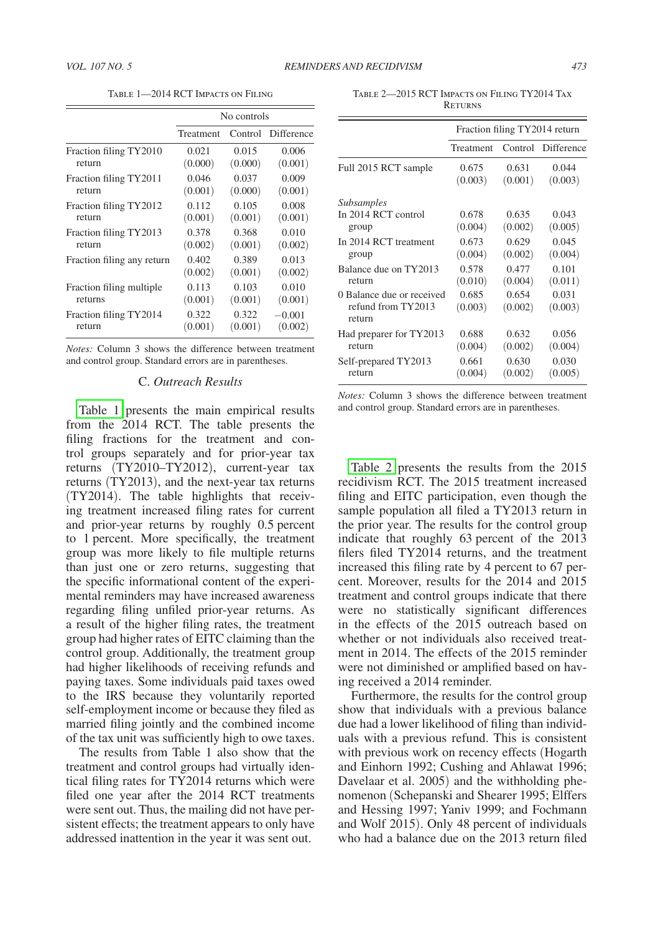Table 1—2014 RCT Impacts on Filing

|                            | No controls |         |            |  |
|----------------------------|-------------|---------|------------|--|
|                            | Treatment   | Control | Difference |  |
| Fraction filing TY2010     | 0.021       | 0.015   | 0.006      |  |
| return                     | (0.000)     | (0.000) | (0.001)    |  |
| Fraction filing TY2011     | 0.046       | 0.037   | 0.009      |  |
| return                     | (0.001)     | (0.000) | (0.001)    |  |
| Fraction filing TY2012     | 0.112       | 0.105   | 0.008      |  |
| return                     | (0.001)     | (0.001) | (0.001)    |  |
| Fraction filing TY2013     | 0.378       | 0.368   | 0.010      |  |
| return                     | (0.002)     | (0.001) | (0.002)    |  |
| Fraction filing any return | 0.402       | 0.389   | 0.013      |  |
|                            | (0.002)     | (0.001) | (0.002)    |  |
| Fraction filing multiple   | 0.113       | 0.103   | 0.010      |  |
| returns                    | (0.001)     | (0.001) | (0.001)    |  |
| Fraction filing TY2014     | 0.322       | 0.322   | $-0.001$   |  |
| return                     | (0.001)     | (0.001) | (0.002)    |  |

*Notes:* Column 3 shows the difference between treatment and control group. Standard errors are in parentheses.

#### C. *Outreach Results*

Table 1 presents the main empirical results from the 2014 RCT. The table presents the filing fractions for the treatment and control groups separately and for prior-year tax returns (TY2010–TY2012), current-year tax returns (TY2013), and the next-year tax returns (TY2014). The table highlights that receiving treatment increased filing rates for current and prior-year returns by roughly 0.5 percent to 1 percent. More specifically, the treatment group was more likely to file multiple returns than just one or zero returns, suggesting that the specific informational content of the experimental reminders may have increased awareness regarding filing unfiled prior-year returns. As a result of the higher filing rates, the treatment group had higher rates of EITC claiming than the control group. Additionally, the treatment group had higher likelihoods of receiving refunds and paying taxes. Some individuals paid taxes owed to the IRS because they voluntarily reported self-employment income or because they filed as married filing jointly and the combined income of the tax unit was sufficiently high to owe taxes.

The results from Table 1 also show that the treatment and control groups had virtually identical filing rates for TY2014 returns which were filed one year after the 2014 RCT treatments were sent out. Thus, the mailing did not have persistent effects; the treatment appears to only have addressed inattention in the year it was sent out.

Table 2—2015 RCT Impacts on Filing TY2014 Tax **RETURNS** 

|                                                           | Fraction filing TY2014 return |                  |                    |  |
|-----------------------------------------------------------|-------------------------------|------------------|--------------------|--|
|                                                           | Treatment                     |                  | Control Difference |  |
| Full 2015 RCT sample                                      | 0.675                         | 0.631            | 0.044              |  |
|                                                           | (0.003)                       | (0.001)          | (0.003)            |  |
| <b>Subsamples</b>                                         |                               |                  |                    |  |
| In 2014 RCT control                                       | 0.678                         | 0.635            | 0.043              |  |
| group                                                     | (0.004)                       | (0.002)          | (0.005)            |  |
| In 2014 RCT treatment                                     | 0.673                         | 0.629            | 0.045              |  |
| group                                                     | (0.004)                       | (0.002)          | (0.004)            |  |
| Balance due on TY2013                                     | 0.578                         | 0.477            | 0.101              |  |
| return                                                    | (0.010)                       | (0.004)          | (0.011)            |  |
| 0 Balance due or received<br>refund from TY2013<br>return | 0.685<br>(0.003)              | 0.654<br>(0.002) | 0.031<br>(0.003)   |  |
| Had preparer for TY2013                                   | 0.688                         | 0.632            | 0.056              |  |
| return                                                    | (0.004)                       | (0.002)          | (0.004)            |  |
| Self-prepared TY2013                                      | 0.661                         | 0.630            | 0.030              |  |
| return                                                    | (0.004)                       | (0.002)          | (0.005)            |  |

*Notes:* Column 3 shows the difference between treatment and control group. Standard errors are in parentheses.

Table 2 presents the results from the 2015 recidivism RCT. The 2015 treatment increased filing and EITC participation, even though the sample population all filed a TY2013 return in the prior year. The results for the control group indicate that roughly 63 percent of the 2013 filers filed TY2014 returns, and the treatment increased this filing rate by 4 percent to 67 percent. Moreover, results for the 2014 and 2015 treatment and control groups indicate that there were no statistically significant differences in the effects of the 2015 outreach based on whether or not individuals also received treatment in 2014. The effects of the 2015 reminder were not diminished or amplified based on having received a 2014 reminder.

Furthermore, the results for the control group show that individuals with a previous balance due had a lower likelihood of filing than individuals with a previous refund. This is consistent with previous work on recency effects (Hogarth and Einhorn 1992; Cushing and Ahlawat 1996; Davelaar et al. 2005) and the withholding phenomenon (Schepanski and Shearer 1995; Elffers and Hessing 1997; Yaniv 1999; and Fochmann and Wolf 2015). Only 48 percent of individuals who had a balance due on the 2013 return filed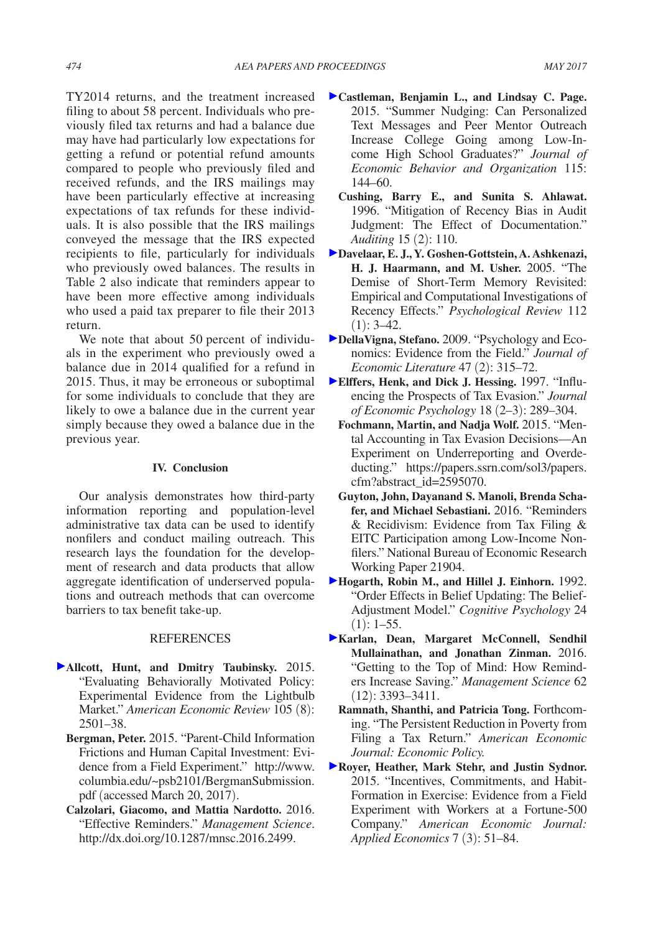TY2014 returns, and the treatment increased filing to about 58 percent. Individuals who previously filed tax returns and had a balance due may have had particularly low expectations for getting a refund or potential refund amounts compared to people who previously filed and received refunds, and the IRS mailings may have been particularly effective at increasing expectations of tax refunds for these individuals. It is also possible that the IRS mailings conveyed the message that the IRS expected recipients to file, particularly for individuals who previously owed balances. The results in Table 2 also indicate that reminders appear to have been more effective among individuals who used a paid tax preparer to file their 2013 return.

We note that about 50 percent of individuals in the experiment who previously owed a balance due in 2014 qualified for a refund in 2015. Thus, it may be erroneous or suboptimal for some individuals to conclude that they are likely to owe a balance due in the current year simply because they owed a balance due in the previous year.

#### **IV. Conclusion**

Our analysis demonstrates how third-party information reporting and population-level administrative tax data can be used to identify nonfilers and conduct mailing outreach. This research lays the foundation for the development of research and data products that allow aggregate identification of underserved populations and outreach methods that can overcome barriers to tax benefit take-up.

## **REFERENCES**

- **Allcott, Hunt, and Dmitry Taubinsky.** 2015. "Evaluating Behaviorally Motivated Policy: Experimental Evidence from the Lightbulb Market." *American Economic Review* 105 (8): 2501–38.
	- **Bergman, Peter.** 2015. "Parent-Child Information Frictions and Human Capital Investment: Evi[dence from a Field Experiment." http://www.](http://www.columbia.edu/~psb2101/BergmanSubmission.pdf) columbia.edu/~psb2101/BergmanSubmission. pdf (accessed March 20, 2017).
	- **Calzolari, Giacomo, and Mattia Nardotto.** 2016. "Effective Reminders." *Management Science*. http://dx.doi.org/10.1287/mnsc.2016.2499.
- **Castleman, Benjamin L., and Lindsay C. Page.**  2015. "Summer Nudging: Can Personalized Text Messages and Peer Mentor Outreach Increase College Going among Low-Income High School Graduates?" *Journal of Economic Behavior and Organization* 115: 144–60.
	- **Cushing, Barry E., and Sunita S. Ahlawat.**  1996. "Mitigation of Recency Bias in Audit Judgment: The Effect of Documentation." *Auditing* 15 (2): 110.
- **Davelaar, E. J., Y. Goshen-Gottstein, A. Ashkenazi, H. J. Haarmann, and M. Usher.** 2005. "The Demise of Short-Term Memory Revisited: Empirical and Computational Investigations of Recency Effects." *Psychological Review* 112  $(1): 3-42.$
- **DellaVigna, Stefano.** 2009. "Psychology and Economics: Evidence from the Field." *Journal of Economic Literature* 47 (2): 315–72.
- **Elffers, Henk, and Dick J. Hessing.** 1997. "Influencing the Prospects of Tax Evasion." *Journal of Economic Psychology* 18 (2–3): 289–304.
	- **Fochmann, Martin, and Nadja Wolf.** 2015. "Mental Accounting in Tax Evasion Decisions—An Experiment on Underreporting and Overde[ducting." https://papers.ssrn.com/sol3/papers.](https://papers.ssrn.com/sol3/papers.cfm?abstract_id=2595070) cfm?abstract\_id=2595070.
	- **Guyton, John, Dayanand S. Manoli, Brenda Schafer, and Michael Sebastiani.** 2016. "Reminders & Recidivism: Evidence from Tax Filing & EITC Participation among Low-Income Nonfilers." National Bureau of Economic Research Working Paper 21904.
- **Hogarth, Robin M., and Hillel J. Einhorn.** 1992. "Order Effects in Belief Updating: The Belief-Adjustment Model." *Cognitive Psychology* 24  $(1): 1-55.$
- **Karlan, Dean, Margaret McConnell, Sendhil Mullainathan, and Jonathan Zinman.** 2016. "Getting to the Top of Mind: How Reminders Increase Saving." *Management Science* 62 (12): 3393–3411.
	- **Ramnath, Shanthi, and Patricia Tong.** Forthcoming. "The Persistent Reduction in Poverty from Filing a Tax Return." *American Economic Journal: Economic Policy.*
- **Royer, Heather, Mark Stehr, and Justin Sydnor.**  2015. "Incentives, Commitments, and Habit-Formation in Exercise: Evidence from a Field Experiment with Workers at a Fortune-500 Company." *American Economic Journal: Applied Economics* 7 (3): 51–84.